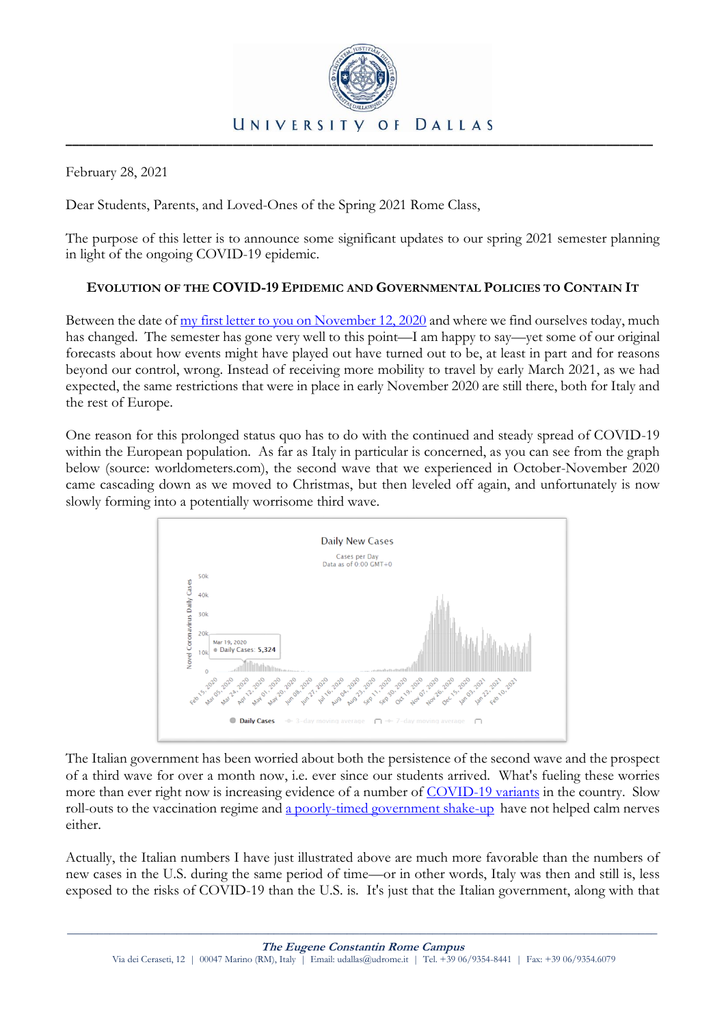

February 28, 2021

Dear Students, Parents, and Loved-Ones of the Spring 2021 Rome Class,

The purpose of this letter is to announce some significant updates to our spring 2021 semester planning in light of the ongoing COVID-19 epidemic.

# **EVOLUTION OF THE COVID-19 EPIDEMIC AND GOVERNMENTAL POLICIES TO CONTAIN IT**

Between the date of [my first letter to you on November 12, 2020](https://udallas.edu/coronavirus/_documents/udrome_letter.to.parents_v.2020.11.12.pdf) and where we find ourselves today, much has changed. The semester has gone very well to this point—I am happy to say—yet some of our original forecasts about how events might have played out have turned out to be, at least in part and for reasons beyond our control, wrong. Instead of receiving more mobility to travel by early March 2021, as we had expected, the same restrictions that were in place in early November 2020 are still there, both for Italy and the rest of Europe.

One reason for this prolonged status quo has to do with the continued and steady spread of COVID-19 within the European population. As far as Italy in particular is concerned, as you can see from the graph below (source: worldometers.com), the second wave that we experienced in October-November 2020 came cascading down as we moved to Christmas, but then leveled off again, and unfortunately is now slowly forming into a potentially worrisome third wave.



The Italian government has been worried about both the persistence of the second wave and the prospect of a third wave for over a month now, i.e. ever since our students arrived. What's fueling these worries more than ever right now is increasing evidence of a number of [COVID-19 variants](https://www.axios.com/italy-covid-restrictions-variant-warnings-ff86270f-3de4-4641-8ebb-27770021b9a3.html) in the country. Slow roll-outs to the vaccination regime and [a poorly-timed government shake-up](https://www.neweurope.eu/article/a-challenging-start-for-draghi/) have not helped calm nerves either.

Actually, the Italian numbers I have just illustrated above are much more favorable than the numbers of new cases in the U.S. during the same period of time—or in other words, Italy was then and still is, less exposed to the risks of COVID-19 than the U.S. is. It's just that the Italian government, along with that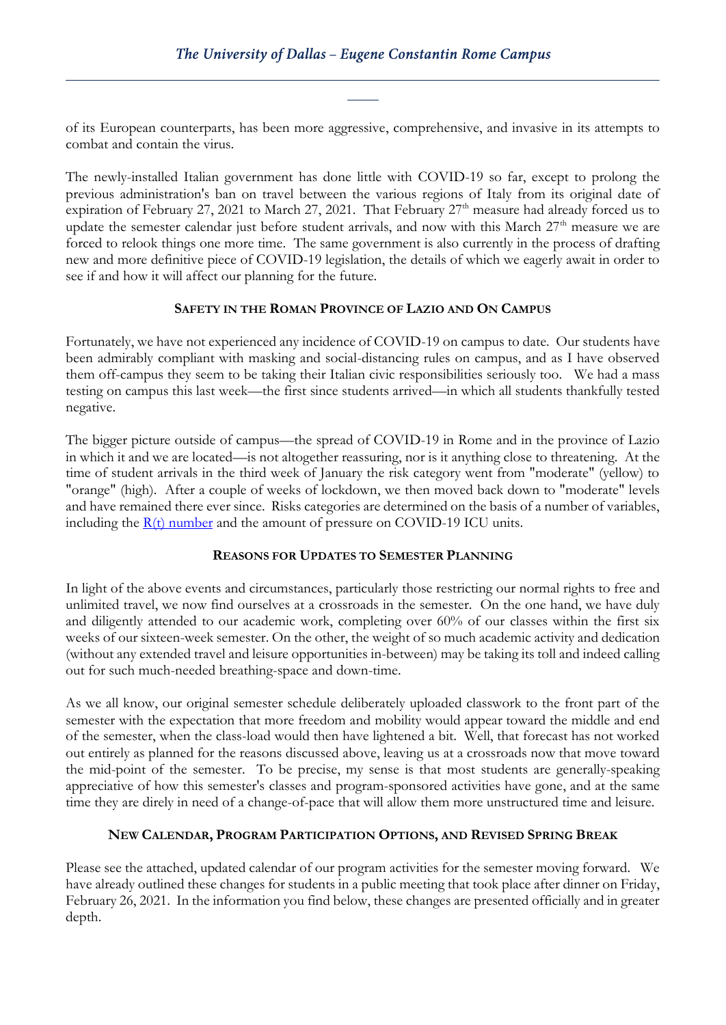of its European counterparts, has been more aggressive, comprehensive, and invasive in its attempts to combat and contain the virus.

The newly-installed Italian government has done little with COVID-19 so far, except to prolong the previous administration's ban on travel between the various regions of Italy from its original date of expiration of February 27, 2021 to March 27, 2021. That February  $27<sup>th</sup>$  measure had already forced us to update the semester calendar just before student arrivals, and now with this March 27<sup>th</sup> measure we are forced to relook things one more time. The same government is also currently in the process of drafting new and more definitive piece of COVID-19 legislation, the details of which we eagerly await in order to see if and how it will affect our planning for the future.

### **SAFETY IN THE ROMAN PROVINCE OF LAZIO AND ON CAMPUS**

Fortunately, we have not experienced any incidence of COVID-19 on campus to date. Our students have been admirably compliant with masking and social-distancing rules on campus, and as I have observed them off-campus they seem to be taking their Italian civic responsibilities seriously too. We had a mass testing on campus this last week—the first since students arrived—in which all students thankfully tested negative.

The bigger picture outside of campus—the spread of COVID-19 in Rome and in the province of Lazio in which it and we are located—is not altogether reassuring, nor is it anything close to threatening. At the time of student arrivals in the third week of January the risk category went from "moderate" (yellow) to "orange" (high). After a couple of weeks of lockdown, we then moved back down to "moderate" levels and have remained there ever since. Risks categories are determined on the basis of a number of variables, including the [R\(t\) number](https://www.bbc.com/news/health-52473523) and the amount of pressure on COVID-19 ICU units.

### **REASONS FOR UPDATES TO SEMESTER PLANNING**

In light of the above events and circumstances, particularly those restricting our normal rights to free and unlimited travel, we now find ourselves at a crossroads in the semester. On the one hand, we have duly and diligently attended to our academic work, completing over 60% of our classes within the first six weeks of our sixteen-week semester. On the other, the weight of so much academic activity and dedication (without any extended travel and leisure opportunities in-between) may be taking its toll and indeed calling out for such much-needed breathing-space and down-time.

As we all know, our original semester schedule deliberately uploaded classwork to the front part of the semester with the expectation that more freedom and mobility would appear toward the middle and end of the semester, when the class-load would then have lightened a bit. Well, that forecast has not worked out entirely as planned for the reasons discussed above, leaving us at a crossroads now that move toward the mid-point of the semester. To be precise, my sense is that most students are generally-speaking appreciative of how this semester's classes and program-sponsored activities have gone, and at the same time they are direly in need of a change-of-pace that will allow them more unstructured time and leisure.

# **NEW CALENDAR, PROGRAM PARTICIPATION OPTIONS, AND REVISED SPRING BREAK**

Please see the attached, updated calendar of our program activities for the semester moving forward. We have already outlined these changes for students in a public meeting that took place after dinner on Friday, February 26, 2021. In the information you find below, these changes are presented officially and in greater depth.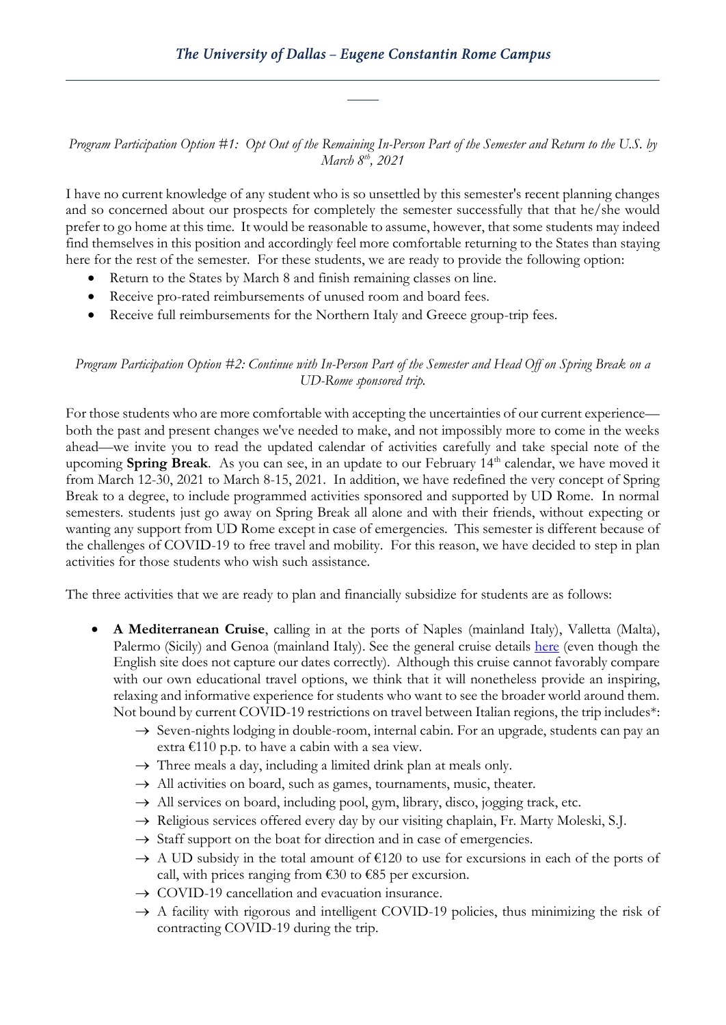*Program Participation Option #1: Opt Out of the Remaining In-Person Part of the Semester and Return to the U.S. by March 8th, 2021*

I have no current knowledge of any student who is so unsettled by this semester's recent planning changes and so concerned about our prospects for completely the semester successfully that that he/she would prefer to go home at this time. It would be reasonable to assume, however, that some students may indeed find themselves in this position and accordingly feel more comfortable returning to the States than staying here for the rest of the semester. For these students, we are ready to provide the following option:

- Return to the States by March 8 and finish remaining classes on line.
- Receive pro-rated reimbursements of unused room and board fees.
- Receive full reimbursements for the Northern Italy and Greece group-trip fees.

## *Program Participation Option #2: Continue with In-Person Part of the Semester and Head Off on Spring Break on a UD-Rome sponsored trip.*

For those students who are more comfortable with accepting the uncertainties of our current experience both the past and present changes we've needed to make, and not impossibly more to come in the weeks ahead—we invite you to read the updated calendar of activities carefully and take special note of the upcoming **Spring Break**. As you can see, in an update to our February 14th calendar, we have moved it from March 12-30, 2021 to March 8-15, 2021. In addition, we have redefined the very concept of Spring Break to a degree, to include programmed activities sponsored and supported by UD Rome. In normal semesters. students just go away on Spring Break all alone and with their friends, without expecting or wanting any support from UD Rome except in case of emergencies. This semester is different because of the challenges of COVID-19 to free travel and mobility. For this reason, we have decided to step in plan activities for those students who wish such assistance.

The three activities that we are ready to plan and financially subsidize for students are as follows:

- **A Mediterranean Cruise**, calling in at the ports of Naples (mainland Italy), Valletta (Malta), Palermo (Sicily) and Genoa (mainland Italy). See the general cruise details [here](https://www.msccruises.com/en-gl/Plan-Book/Cruise-Detail.aspx?cruiseid=GR20210329CVVCVV) (even though the English site does not capture our dates correctly). Although this cruise cannot favorably compare with our own educational travel options, we think that it will nonetheless provide an inspiring, relaxing and informative experience for students who want to see the broader world around them. Not bound by current COVID-19 restrictions on travel between Italian regions, the trip includes\*:
	- $\rightarrow$  Seven-nights lodging in double-room, internal cabin. For an upgrade, students can pay an extra  $\epsilon$ 110 p.p. to have a cabin with a sea view.
	- $\rightarrow$  Three meals a day, including a limited drink plan at meals only.
	- $\rightarrow$  All activities on board, such as games, tournaments, music, theater.
	- $\rightarrow$  All services on board, including pool, gym, library, disco, jogging track, etc.
	- $\rightarrow$  Religious services offered every day by our visiting chaplain, Fr. Marty Moleski, S.J.
	- $\rightarrow$  Staff support on the boat for direction and in case of emergencies.
	- $\rightarrow$  A UD subsidy in the total amount of €120 to use for excursions in each of the ports of call, with prices ranging from  $\epsilon$ 30 to  $\epsilon$ 85 per excursion.
	- $\rightarrow$  COVID-19 cancellation and evacuation insurance.
	- $\rightarrow$  A facility with rigorous and intelligent COVID-19 policies, thus minimizing the risk of contracting COVID-19 during the trip.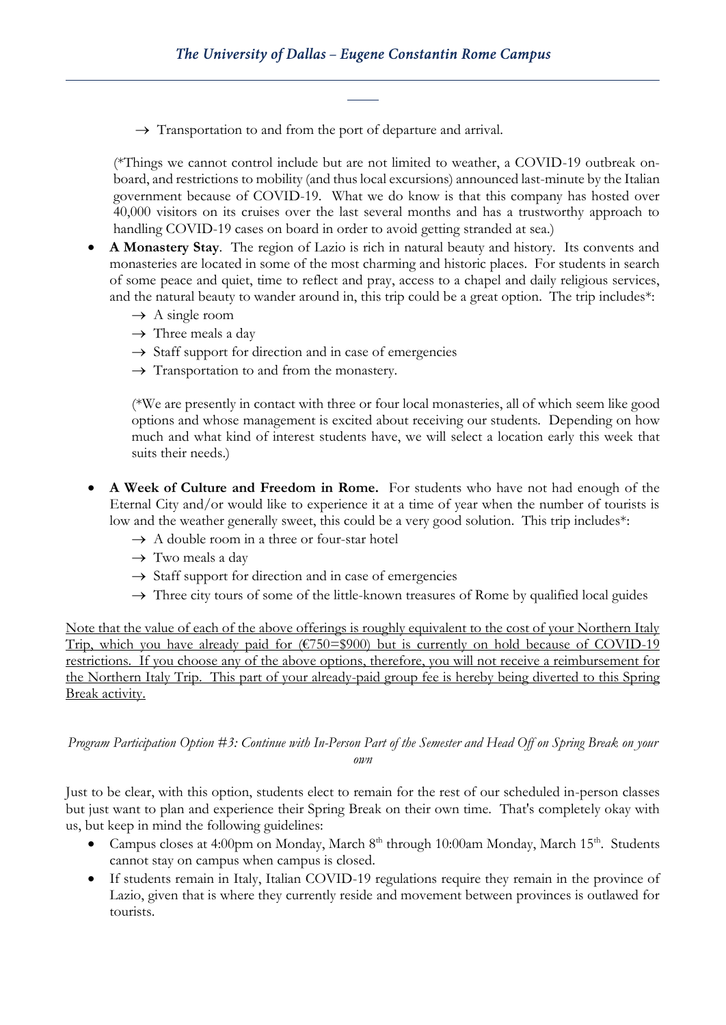$\rightarrow$  Transportation to and from the port of departure and arrival.

(\*Things we cannot control include but are not limited to weather, a COVID-19 outbreak onboard, and restrictions to mobility (and thus local excursions) announced last-minute by the Italian government because of COVID-19. What we do know is that this company has hosted over 40,000 visitors on its cruises over the last several months and has a trustworthy approach to handling COVID-19 cases on board in order to avoid getting stranded at sea.)

- **A Monastery Stay**. The region of Lazio is rich in natural beauty and history. Its convents and monasteries are located in some of the most charming and historic places. For students in search of some peace and quiet, time to reflect and pray, access to a chapel and daily religious services, and the natural beauty to wander around in, this trip could be a great option. The trip includes\*:
	- $\rightarrow$  A single room
	- $\rightarrow$  Three meals a day
	- $\rightarrow$  Staff support for direction and in case of emergencies
	- $\rightarrow$  Transportation to and from the monastery.

(\*We are presently in contact with three or four local monasteries, all of which seem like good options and whose management is excited about receiving our students. Depending on how much and what kind of interest students have, we will select a location early this week that suits their needs.)

- **A Week of Culture and Freedom in Rome.** For students who have not had enough of the Eternal City and/or would like to experience it at a time of year when the number of tourists is low and the weather generally sweet, this could be a very good solution. This trip includes\*:
	- $\rightarrow$  A double room in a three or four-star hotel
	- $\rightarrow$  Two meals a day
	- $\rightarrow$  Staff support for direction and in case of emergencies
	- $\rightarrow$  Three city tours of some of the little-known treasures of Rome by qualified local guides

Note that the value of each of the above offerings is roughly equivalent to the cost of your Northern Italy Trip, which you have already paid for  $(\text{\textsterling}750=\text{\textsterling}900)$  but is currently on hold because of COVID-19 restrictions. If you choose any of the above options, therefore, you will not receive a reimbursement for the Northern Italy Trip. This part of your already-paid group fee is hereby being diverted to this Spring Break activity.

*Program Participation Option #3: Continue with In-Person Part of the Semester and Head Off on Spring Break on your own*

Just to be clear, with this option, students elect to remain for the rest of our scheduled in-person classes but just want to plan and experience their Spring Break on their own time. That's completely okay with us, but keep in mind the following guidelines:

- Campus closes at 4:00pm on Monday, March 8<sup>th</sup> through 10:00am Monday, March 15<sup>th</sup>. Students cannot stay on campus when campus is closed.
- If students remain in Italy, Italian COVID-19 regulations require they remain in the province of Lazio, given that is where they currently reside and movement between provinces is outlawed for tourists.